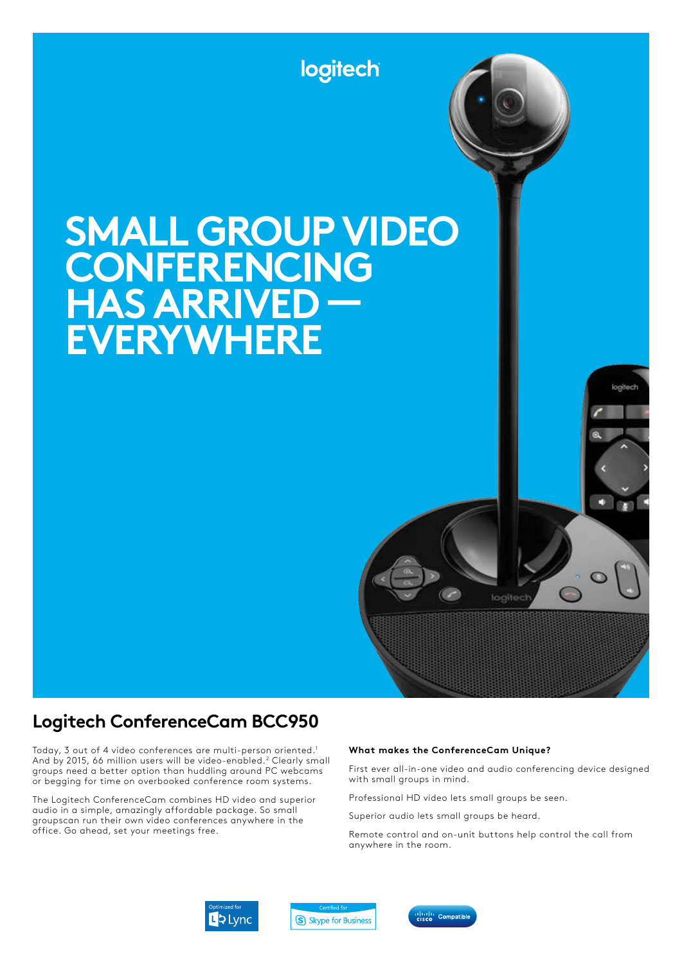

# **SMALL GROUP VIDEO CONFERENCING HAS ARRIVED — EVERYWHERE**

## **Logitech ConferenceCam BCC950**

Today, 3 out of 4 video conferences are multi-person oriented.1 And by 2015, 66 million users will be video-enabled.<sup>2</sup> Clearly small groups need a better option than huddling around PC webcams or begging for time on overbooked conference room systems.

The Logitech ConferenceCam combines HD video and superior audio in a simple, amazingly affordable package. So small groupscan run their own video conferences anywhere in the office. Go ahead, set your meetings free.

#### **What makes the ConferenceCam Unique?**

First ever all-in-one video and audio conferencing device designed with small groups in mind.

logitech

logitech

Professional HD video lets small groups be seen.

Superior audio lets small groups be heard.

Remote control and on-unit buttons help control the call from anywhere in the room.